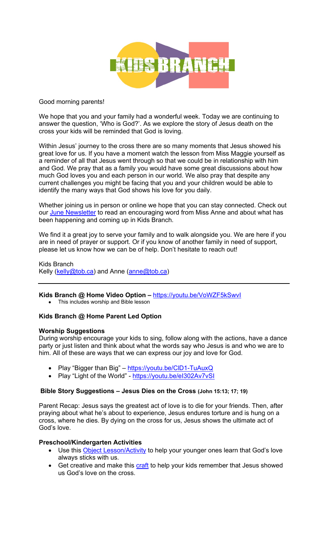

#### Good morning parents!

We hope that you and your family had a wonderful week. Today we are continuing to answer the question, 'Who is God?'. As we explore the story of Jesus death on the cross your kids will be reminded that God is loving.

Within Jesus' journey to the cross there are so many moments that Jesus showed his great love for us. If you have a moment watch the lesson from Miss Maggie yourself as a reminder of all that Jesus went through so that we could be in relationship with him and God. We pray that as a family you would have some great discussions about how much God loves you and each person in our world. We also pray that despite any current challenges you might be facing that you and your children would be able to identify the many ways that God shows his love for you daily.

Whether joining us in person or online we hope that you can stay connected. Check out our June Newsletter to read an encouraging word from Miss Anne and about what has been happening and coming up in Kids Branch.

We find it a great joy to serve your family and to walk alongside you. We are here if you are in need of prayer or support. Or if you know of another family in need of support, please let us know how we can be of help. Don't hesitate to reach out!

Kids Branch Kelly (kelly@tob.ca) and Anne (anne@tob.ca)

**Kids Branch @ Home Video Option –** https://youtu.be/VoWZF5kSwvI

• This includes worship and Bible lesson

## **Kids Branch @ Home Parent Led Option**

## **Worship Suggestions**

During worship encourage your kids to sing, follow along with the actions, have a dance party or just listen and think about what the words say who Jesus is and who we are to him. All of these are ways that we can express our joy and love for God.

- Play "Bigger than Big" https://youtu.be/CID1-TuAuxQ
- Play "Light of the World" https://youtu.be/el302Av7vSI

## **Bible Story Suggestions – Jesus Dies on the Cross (John 15:13; 17; 19)**

Parent Recap: Jesus says the greatest act of love is to die for your friends. Then, after praying about what he's about to experience, Jesus endures torture and is hung on a cross, where he dies. By dying on the cross for us, Jesus shows the ultimate act of God's love.

## **Preschool/Kindergarten Activities**

- Use this **Object Lesson/Activity** to help your younger ones learn that God's love always sticks with us.
- Get creative and make this craft to help your kids remember that Jesus showed us God's love on the cross.